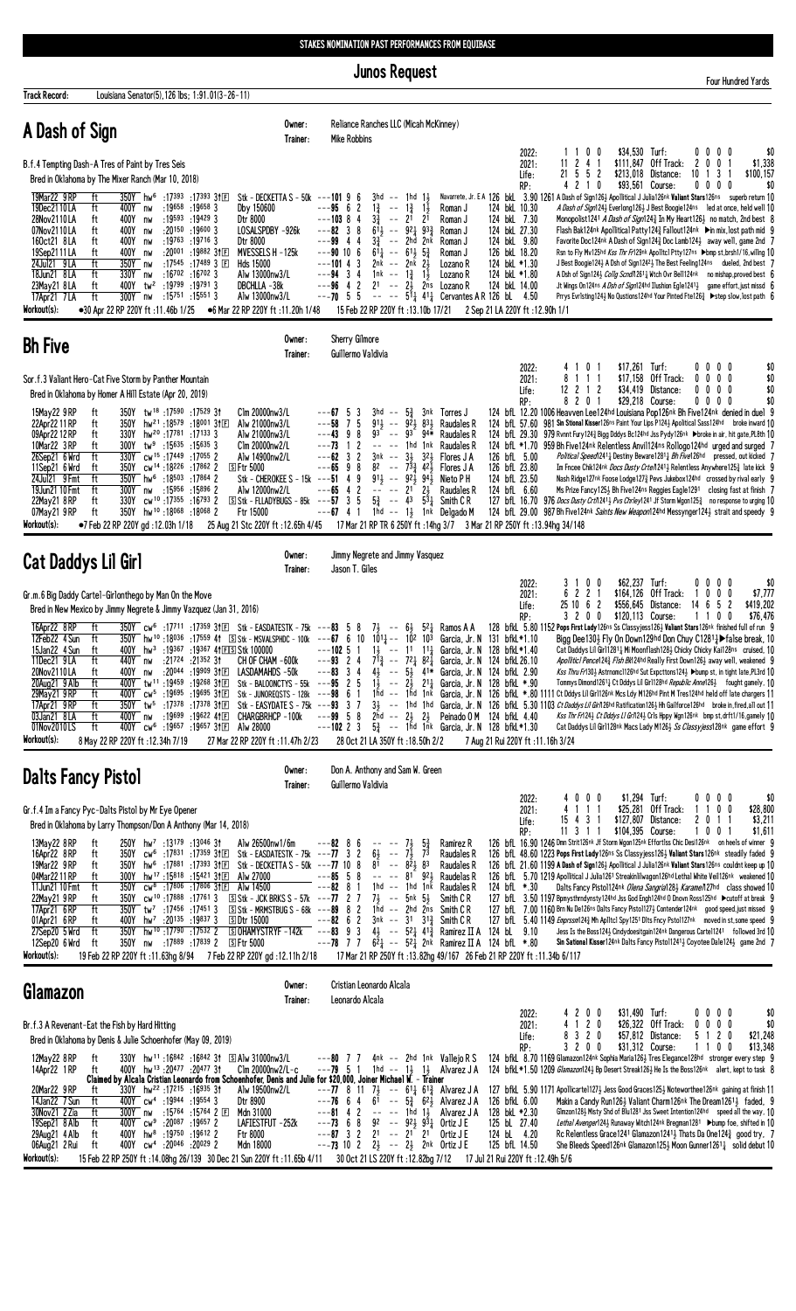**Junos Request** 

|                                                                                                                                                                                                                                                                                                                                                                                                                                                                                                                                                                                                                                                                                                                                                                                                                                                                                            | aanoo iyodaank                                                                                                                                                                                                                                                                                                                                                                                                                                                                                                                                                                                                                                                                                                                                                                                                                                                                                                                                                                                                                                                                                                                                                     | Four Hundred Yards                                                                                                                                                                                                                                                                                                                                                                                                                                                                                                                                                                                                                                                                                                                                                                                                                                                                                                                                                                                                                                                                                                                                                                                                                                                                                                                                                                                   |
|--------------------------------------------------------------------------------------------------------------------------------------------------------------------------------------------------------------------------------------------------------------------------------------------------------------------------------------------------------------------------------------------------------------------------------------------------------------------------------------------------------------------------------------------------------------------------------------------------------------------------------------------------------------------------------------------------------------------------------------------------------------------------------------------------------------------------------------------------------------------------------------------|--------------------------------------------------------------------------------------------------------------------------------------------------------------------------------------------------------------------------------------------------------------------------------------------------------------------------------------------------------------------------------------------------------------------------------------------------------------------------------------------------------------------------------------------------------------------------------------------------------------------------------------------------------------------------------------------------------------------------------------------------------------------------------------------------------------------------------------------------------------------------------------------------------------------------------------------------------------------------------------------------------------------------------------------------------------------------------------------------------------------------------------------------------------------|------------------------------------------------------------------------------------------------------------------------------------------------------------------------------------------------------------------------------------------------------------------------------------------------------------------------------------------------------------------------------------------------------------------------------------------------------------------------------------------------------------------------------------------------------------------------------------------------------------------------------------------------------------------------------------------------------------------------------------------------------------------------------------------------------------------------------------------------------------------------------------------------------------------------------------------------------------------------------------------------------------------------------------------------------------------------------------------------------------------------------------------------------------------------------------------------------------------------------------------------------------------------------------------------------------------------------------------------------------------------------------------------------|
| Louisiana Senator(5), 126 lbs; 1:91.01(3-26-11)<br>Track Record:                                                                                                                                                                                                                                                                                                                                                                                                                                                                                                                                                                                                                                                                                                                                                                                                                           | Reliance Ranches LLC (Micah McKinney)<br>Owner:                                                                                                                                                                                                                                                                                                                                                                                                                                                                                                                                                                                                                                                                                                                                                                                                                                                                                                                                                                                                                                                                                                                    |                                                                                                                                                                                                                                                                                                                                                                                                                                                                                                                                                                                                                                                                                                                                                                                                                                                                                                                                                                                                                                                                                                                                                                                                                                                                                                                                                                                                      |
| A Dash of Sign<br>B.f.4 Tempting Dash-A Tres of Paint by Tres Seis<br>Bred in Oklahoma by The Mixer Ranch (Mar 10, 2018)<br>19Mar22 9 RP<br>350Y hw <sup>6</sup> :17393 :17393 3†匣<br>ft<br>19Dec2110LA<br>Dby 150600<br>ft<br>400Y nw<br>:19658 :19658 3<br>Dtr 8000<br>28Nov2110LA<br>400Y nw<br>$:19593$ $:194293$<br>ft<br>400Y nw<br>:20150 :19600 3<br>07Nov2110LA<br>ft<br>400Y nw<br>:19763 :19716 3<br>160ct21 8LA<br>ft<br>Dtr 8000<br>19Sep2111LA<br>400Y nw<br>$:20^{001}$ :19882 3†EI<br>ft<br>:17545 :17489 3 $\Box$<br>24Jul21 9LA<br>350Y nw<br>ft<br>Hds 15000<br>18Jun21 8LA<br>ft<br>330Y nw<br>:16 <sup>702</sup> :16 <sup>702</sup> 3<br>:19799 :19791 3<br>23May21 8LA<br>$400Y$ tw <sup>2</sup><br>ft<br>ft<br>300Y nw<br>:15 <sup>751</sup> :15 <sup>551</sup> 3<br>17Apr21 7LA<br>Workout(s):<br>•30 Apr 22 RP 220Y ft :11.46b 1/25                               | Trainer:<br>Mike Robbins<br>Stk - DECKETTA S - 50k ---101 9 6<br>$3hd$ -- $1hd$ $1\frac{1}{2}$<br>$---95$ 6 2<br>$1\frac{3}{4}$ --<br>$1\frac{3}{4}$ $1\frac{1}{2}$<br>Roman J<br>$---103$ 8 4<br>$-- 2^{1}$ $2^{1}$<br>$3\frac{3}{4}$<br>Roman J<br>LOSALSPDBY -926k<br>$---82 \quad 3 \quad 8$<br>$61\frac{1}{2}$ -- $92\frac{1}{4}$ $93\frac{3}{4}$<br>Roman J<br>$---99$ 4 4<br>$3\frac{3}{4}$ -- 2hd 2nk<br>Roman J<br>$---90$ 10 6<br>$6^{11}$ -- $6^{11}$ $5^{3}$<br>MVESSELS H-125k<br>Roman J<br>$2nk$ -- $2nk$ $2\frac{1}{2}$<br>$---101 4 3$<br>Lozano R<br>$---94$ 3 4<br>Alw 13000nw3/L<br>$1nk$ -- $1\frac{3}{4}$ $1\frac{1}{2}$<br>Lozano R<br>$---96$ 4 2<br>21 -- $2\frac{1}{2}$ 2ns Lozano R<br>DBCHLLA -38k<br>$---70$ 5 5<br>$--- 5^{\frac{1}{4}} 4^{\frac{1}{4}}$ Cervantes AR 126 bL 4.50<br>Alw 13000nw3/L<br>●6 Mar 22 RP 220Y ft :11.20h 1/48<br>15 Feb 22 RP 220Y ft: 13.10b 17/21                                                                                                                                                                                                                                                       | \$34,530 Turf:<br>\$0<br>2022:<br>1100<br>$0\,0\,0\,0$<br>\$1,338<br>$11 \t2 \t4 \t1$<br>\$111,847 Off Track:<br>2 0 0 1<br>2021:<br>21 5 5 2<br>\$213,018 Distance:<br>10<br>3<br>$\overline{1}$<br>\$100,157<br>Life:<br>-1<br>\$93,561 Course:<br>RP:<br>4210<br>$0\,0\,0\,0$<br>\$0<br>Navarrete, Jr. E A 126 bkl 3.90 1261 A Dash of Sign126} Apollitical J Julia126nk Valiant Stars126ns superb return 10<br>124 bkL 10.30<br>A Dash of Sign1241 Everlong1261 J Best Boogie124ns led at once, held well 10<br>124 bkL 7.30<br>Monopolist1241 A Dash of Sign1243 In My Heart1263 no match, 2nd best 8<br>124 bkL 27.30<br>Flash Bak124nk Apollitical Patty124 $\frac{3}{4}$ Fallout124nk $\triangleright$ in mix, lost path mid 9<br>124 bkL 9.80<br>Favorite Doc124nk A Dash of Sign1243 Doc Lamb1243 away well, game 2nd 7<br>126 bkL 18.20<br>Rsn to Fly Mv125hd Kss Thr Fr129nk Apolltcl Ptty127ns ▶bmp st,brsh1/16,willng 10<br>124 bkL *1.30<br>J Best Boogie 124 A A Dsh of Sign 1242 The Best Feeling 124ns dueled, 2nd best 7<br>124 bkL *1.80<br>A Dsh of Sign124 <sub>2</sub> Collg Scnd/1261 <sub>4</sub> Witch Ovr Bell124nk no mishap, proved best 6<br>124 bkL 14.00<br>Jt Wings On124ns A Dsh of Sign124hd Ilushion Egle12413 game effort, just missd 6<br>Prrys Evrlsting124½ No Qustions124hd Your Pinted Fte126½ ▶ step slow, lost path 6<br>2 Sep 21 LA 220Y ft :12.90h 1/1 |
| <b>Bh Five</b>                                                                                                                                                                                                                                                                                                                                                                                                                                                                                                                                                                                                                                                                                                                                                                                                                                                                             | Sherry Gilmore<br>Owner:<br>Trainer:<br>Guillermo Valdivia                                                                                                                                                                                                                                                                                                                                                                                                                                                                                                                                                                                                                                                                                                                                                                                                                                                                                                                                                                                                                                                                                                         |                                                                                                                                                                                                                                                                                                                                                                                                                                                                                                                                                                                                                                                                                                                                                                                                                                                                                                                                                                                                                                                                                                                                                                                                                                                                                                                                                                                                      |
| Sor.f.3 Valiant Hero-Cat Five Storm by Panther Mountain<br>Bred in Oklahoma by Homer A Hill Estate (Apr 20, 2019)<br>15May22 9RP<br>350Y tw <sup>18</sup> :17590:17529 3t<br>ft<br>22Apr22 11 RP<br>hw <sup>21</sup> :18 <sup>579</sup> :18 <sup>001</sup> 31E<br>ft<br>350Y<br>09Apr22 12 RP<br>330Y hw <sup>20</sup> :17 <sup>781</sup> :17133 3<br>ft<br>10Mar22 3 RP<br>$300Y$ tw <sup>9</sup> :15635 :15635 3<br>ft<br>330Y cw <sup>15</sup> :17449 :17055 2<br>26Sep21 6 Wrd<br>ft<br>350Y cw <sup>14</sup> :18 <sup>226</sup> :17862 2<br>11Sep21 6 Wrd<br>ft<br>$S$ Ftr 5000<br>24Jul21 9 Fmt<br>ft<br>350Y hw <sup>6</sup> :18503 :17864 2<br>:15956 :15896 2<br>19Jun21 10 Fmt<br>ft<br>300Y nw<br>22May21 8RP<br>cw <sup>10</sup> :17 <sup>355</sup> :16 <sup>793</sup> 2<br>ft<br>330Y<br>350Y hw <sup>10</sup> :18068:180682<br>07May21 9RP<br>ft<br>Ftr 15000<br>Workout(s): | Clm 20000nw3/L<br>3hd $ 5\frac{3}{4}$ 3nk Torres J<br>$--67$ 5 3<br>$---58$ 7 5<br>$91\frac{1}{2}$ -- $92\frac{1}{2}$ $83\frac{1}{2}$ Raudales R<br>Alw 21000nw3/L<br>$93^{2}$ -- $93^{2}$ $94*$ Raudales R<br>$---43$ 9 8<br>Alw 21000nw3/L<br>$---73$ 1 2<br>$---$ 1hd 1nk Raudales R<br>Clm 20000nw2/L<br>$---62$ 3 2<br>$3nk$ -- $3\frac{1}{2}$ $3\frac{2}{2}$ Flores JA<br>Alw 14900nw2/L<br>$---65$ 9 8<br>82 -- $73\frac{3}{4}$ 42 $\frac{1}{2}$ Flores JA<br>Stk - CHEROKEE S - 15k ---51 4 9<br>$91\frac{1}{2}$ -- $92\frac{1}{2}$ $94\frac{1}{2}$<br>-- -- $21\frac{2}{2}$<br>Nieto P H<br>$---65$ 4 2<br>Alw 12000nw2/L<br>Raudales R<br>$---57$ 3 5<br>$5\frac{3}{4}$ -- 43 $5\frac{3}{4}$ Smith CR<br>S Stk - FLLADYBUGS - 85k<br>1hd $-$ 1 $\frac{1}{2}$ 1nk Delgado M<br>$---67$ 4 1<br>Then 220Y gd:12.03h 1/18 25 Aug 21 Stc 220Y ft:12.65h 4/45 17 Mar 21 RP TR 6 250Y ft:14hg 3/7 3 Mar 21 RP 250Y ft:13.94hg 34/148                                                                                                                                                                                                                            | \$17,261 Turf:<br>4101<br>$0\ 0\ 0\ 0$<br>\$0<br>2022:<br>8 1 1 1<br>$$17.158$ Off Track:<br>\$0<br>2021:<br>$0\,0\,0\,0$<br>$12$ 2 1 2<br>\$34,419 Distance:<br>\$0<br>0000<br>Life:<br>8 2 0 1<br>0 0 0 0<br>\$0<br>\$29,218 Course:<br>RP:<br>124 bfL 12.20 1006 Heavven Lee124hd Louisiana Pop126nk Bh Five124nk denied in duel 9<br>981 Sin Stional Kisser126ns Paint Your Lips P1243 Apolitical Sass124hd broke inward 10<br>124 bfL 57.60<br>124 bfl. 29.30 979 Rvnnt Fury 1243 Bigg Dddys Bc124hd Jss Pydy 126nk >broke in air, hit gate, PL8th 10<br>124 bfl *1.70 959 Bh Five124nk Relentless Anvil124ns Rollogo124hd urged and surged 7<br>126 bfL 5.00<br>Political Speed 2411 Destiny Beware 12811 Bh Five 126hd pressed, out kicked 7<br>126 bfL 23.80<br>Im Fncee Chik124nk <i>Docs Dusty Crtel</i> 1241 <sub>2</sub> Relentless Anywhere125 <sub>4</sub> late kick 9<br>124 bfL 23.50<br>Nash Ridge127nk Foose Lodge1273 Pevs Jukebox124hd crossed by rival early 9<br>124 bfL 6.60<br>Ms Prize Fancy 1253 Bh Five 124ns Reggies Eagle 1291 closing fast at finish 7<br>127 bfL 16.70 976 Docs Dusty Crt/1241 <sub>3</sub> Pvs Chrley1241 Jf Storm Wgon125 <sub>4</sub> no response to urging 10<br>124 bfl 29.00 987 Bh Five124nk Saints New Weapon124hd Messynger1243 strait and speedy 9                                                                                          |
| <b>Cat Daddys Lil Girl</b>                                                                                                                                                                                                                                                                                                                                                                                                                                                                                                                                                                                                                                                                                                                                                                                                                                                                 | Owner:<br>Jimmy Negrete and Jimmy Vasquez<br>Trainer:<br>Jason T. Giles                                                                                                                                                                                                                                                                                                                                                                                                                                                                                                                                                                                                                                                                                                                                                                                                                                                                                                                                                                                                                                                                                            |                                                                                                                                                                                                                                                                                                                                                                                                                                                                                                                                                                                                                                                                                                                                                                                                                                                                                                                                                                                                                                                                                                                                                                                                                                                                                                                                                                                                      |
| Gr.m.6 Big Daddy Cartel-Girlonthego by Man On the Move<br>Bred in New Mexico by Jimmy Negrete & Jimmy Vazquez (Jan 31, 2016)<br>16Apr22 8RP<br>ft<br>12Feb22 4 Sun<br>ft<br>400Y hw <sup>3</sup> :19367 :19367 41ES Stk 100000<br>15Jan22 4 Sun<br>ft<br>440Y nw :21724 :21352 31 CH OF CHAM -600k<br>11Dec21 9LA<br>ft<br>20Nov2110LA<br>:20º44 :19ººº 3↑⊡<br>ft<br>400Y nw<br>20Aug21 9 Alb<br>400Y tw <sup>11</sup> :19459 :19268 31E<br>ft<br>400Y $cw^5$ :19695 :19695 31E<br>29May21 9 RP<br>ft<br>17Apr21 9RP<br>ft<br>350Y tw <sup>5</sup> :17378 :17378 31E<br>03Jan21 8LA<br>ft<br>:19699 :19622 41回<br>400Y nw<br>400Y cw <sup>6</sup> :19657:1965731El Alw 28000<br>01Nov2010LS<br>ft<br>Workout(s):<br>8 May 22 RP 220Y ft : 12.34h 7/19                                                                                                                                      | $\frac{350Y}{350Y}$ cw <sup>6</sup> :17 <sup>711</sup> :17 <sup>359</sup> 31 El Stk - EASDATESTK - 75k --- <b>83</b> 5 8 7 $\frac{1}{2}$ -- 6 $\frac{1}{2}$ 5 <sup>2</sup> $\frac{1}{4}$ Ramos A A<br>$\frac{350Y}{100}$ hw <sup>10</sup> :18 <sup>036</sup> :17559 41 SStk - MSVALSPHDC - 100k ---67 6 10 1011 -- 102 103 Garcia, Jr. N 131 bfkL*1.10<br>$---102$ 5 1 1 $\frac{1}{2}$ $--- 11$ 1 <sup>1</sup> $\frac{1}{4}$ Garcia, Jr. N 128 bfkL *1.40<br>$-$ - - 93 2 4 7 <sup>1</sup> $\frac{3}{4}$ - 7 <sup>2</sup> $\frac{1}{4}$ 8 <sup>2</sup> $\frac{7}{4}$ Garcia, Jr. N 124 bfkL 26.10<br>LASDAMAHDS -50k<br>$---83$ 3 4<br>4 $\frac{1}{2}$ -- 5 $\frac{1}{2}$ 41* Garcia, Jr. N 124 bfkl 2.90<br>$1\frac{1}{2}$ -- $2\frac{1}{2}$ $21\frac{1}{4}$ Garcia, Jr. N 128 bfkl *.90<br>Stk - BALOONCTYS - $55k$ --- $95$ 2 5<br>Stk - JUNOREQSTS - 128k ---98 6 1<br>Stk - EASYDATE S - 75k ---93 3 7<br>CHARGBRHCP -100k<br>$---99 5 8$<br>2hd -- $2\frac{1}{2}$ $2\frac{1}{2}$ Peinado 0 M 124 bfkl 4.40<br>$---102$ 2 3 $5\frac{3}{4}$ $---$ 1hd 1nk Garcia, Jr. N 128 bfkL *1.30<br>28 Oct 21 LA 350Y ft: 18.50h 2/2<br>27 Mar 22 RP 220Y ft:11.47h 2/23 | 3 1 0 0<br>\$62,237 Turf:<br>$0\ 0\ 0\ 0$<br>\$0<br>2022:<br>6 2 2 1<br>$$164,126$ Off Track:<br>$0\ 0\ 0$<br>\$7,777<br>1<br>2021:<br>25 10 6 2<br>\$419,202<br>\$556,645 Distance:<br>14 6 5 2<br>Life:<br>3 2 0 0<br>\$120,113 Course:<br>\$76,476<br>1100<br>RP:<br>128 bfkl 5.80 1152 Pops First Lady 126ns Ss Classyjess 1263 Valiant Stars 126nk finished full of run 9<br>Bigg Dee130} Fly On Down129hd Don Chuy C1281}▶ false break, 10<br>Cat Daddys Lil Girl12811 Mi Moonflash1281 Chicky Chicky Kai128ns cruised, 10<br>Apolliticl Pence1243 Flsh BK124hd Really First Down1263 away well, weakened 9<br>Kss Thru Fr130} Astrnomc1126hd Sut Expcttons124} >bump st, in tight late,PL3rd 10<br>Tommys Dimond1261 <sup>1</sup> Ct Dddys Lil Girl128hd Republic Anne126 <sup>1</sup> fought gamely, 10<br>16 -- 16d 1nk Garcia, Jr. N 126 bfkl. *. 80 1111 Ct Dddys Lil Girl126nk Mcs Ldy M126hd Pint M Tres124hd held off late chargers 11<br>3} -- 1hd 1hd Garcia, Jr. N 126 bfkl. 5.30 1103 Ct Daddys Lil Girl126hd Ratification126} Hh Gailforce126hd broke in, fired, all out 11<br>Kss Thr Fr124} Ct Dddys Ll Gr/124} Crls Hppy Wgn126nk bmp st, drft1/16, gamely 10<br>Cat Daddys Lil Girl128nk Macs Lady M1263 Ss Classy/ess128nk game effort 9<br>7 Aug 21 Rui 220Y ft: 11.16h 3/24                                                                                                |
| <b>Dalts Fancy Pistol</b>                                                                                                                                                                                                                                                                                                                                                                                                                                                                                                                                                                                                                                                                                                                                                                                                                                                                  | Don A. Anthony and Sam W. Green<br>Owner:<br>Guillermo Valdivia<br>Trainer:                                                                                                                                                                                                                                                                                                                                                                                                                                                                                                                                                                                                                                                                                                                                                                                                                                                                                                                                                                                                                                                                                        |                                                                                                                                                                                                                                                                                                                                                                                                                                                                                                                                                                                                                                                                                                                                                                                                                                                                                                                                                                                                                                                                                                                                                                                                                                                                                                                                                                                                      |
| Gr.f.4 Im a Fancy Pyc-Dalts Pistol by Mr Eye Opener<br>Bred in Oklahoma by Larry Thompson/Don A Anthony (Mar 14, 2018)<br>13May22 8RP<br>250Y hw <sup>7</sup> :13179 :13046 31<br>ft<br>CW <sup>6</sup> :17 <sup>831</sup> :17 <sup>359</sup> 3†⊞<br>16Apr22 8RP<br>350Y<br>ft<br>19Mar22 9 RP<br>350Y hw <sup>6</sup> :17881 :17393 31E<br>ft<br>04Mar2211RP<br>300Y hw <sup>17</sup> :15818 :15421 31 $E$<br>Alw 27000<br>ft<br>350Y cw <sup>8</sup> :17806 :17806 31El Alw 14500<br>11Jun21 10 Fmt<br>ft<br>22May21 9RP<br>350Y cw <sup>10</sup> :17888 :17761 3<br>ft<br>17Apr21 6RP<br>ft<br>$350Y$ tw <sup>7</sup> :17456 :17451 3<br><b>SDtr 15000</b><br>01Apr21 6RP<br>ft<br>400Y hw <sup>7</sup> :20 <sup>135</sup> :19837 3<br>hw <sup>10</sup> :17790 :17532 2<br>27Sep20 5 Wrd<br>ft<br>350Y<br>12Sep20 6 Wrd<br>350Y nw :17889 :17839 2 S Ftr 5000<br>ft<br>Workout(s):      | Alw 26500nw1/6m<br>$---82$ 8 6<br>$\begin{array}{cccc} -- & -- & 7\frac{1}{2} & 5\frac{3}{4} \\ 6\frac{1}{2} & -- & 7\frac{1}{2} & 7\frac{3}{2} \end{array}$<br>Ramirez R<br>Stk - EASDATESTK - 75k --- <b>77</b> 3 2<br>Raudales R<br>Stk - DECKETTA S - 50k ---77 10 8<br>$81 - 82\frac{1}{2}83$<br>Raudales R<br>$---85 5 8$<br>$-- -81921$<br>Raudelas R<br>$---82$ 8 1<br>1hd -- 1hd 1nk<br>Raudales R<br>$\boxed{5}$ Stk - JCK BRKS S - 57k ---77 2 7 7 <sup>1</sup> <sub>2</sub> -- 5nk 5 <sup>1</sup> <sub>2</sub><br>Smith C R<br>$\S$ Stk - MRMSTBUGS - 68k ---89 8 2 1hd -- 2hd 2ns<br>Smith C R<br>$---82$ 6 2<br>$3nk - 31$ $31\frac{3}{4}$ Smith C R<br><b>SOHAMYSTRYF-142k</b> ---83 9 3 4 $\frac{1}{2}$ -- 5 <sup>2</sup> $\frac{1}{4}$ 41 $\frac{3}{4}$ Ramirez II A 124 bl 9.10<br>---78 7 7 $6\overline{2}$ -- $5\overline{2}$ 2nk Ramirez II A 124 bfL *.80<br>19 Feb 22 RP 220Y ft:11.63hg 8/94 7 Feb 22 RP 220Y gd:12.11h 2/18 17 Mar 21 RP 250Y ft:13.82hg 49/167 26 Feb 21 RP 220Y ft:11.34b 6/117                                                                                                                                         | \$0<br>4000<br>\$1,294 Turf:<br>$0\,0\,0\,0$<br>2022:<br>\$25,281 Off Track:<br>\$28,800<br>4 1 1 1<br>1100<br>2021:<br>\$127,807 Distance:<br>\$3,211<br>15 4 3 1<br>2 0 1 1<br>Life:<br>\$104,395 Course:<br>RP:<br>11 3 1 1<br>1001<br>\$1,611<br>126 bfl 16.90 1246 Dmn Strit126nk Jf Storm Wgon125nk Effortlss Chic Desi126nk on heels of winner 9<br>126 bfl 48.60 1223 Pops First Lady126ns Ss Classyjess1263 Valiant Stars126nk steadily faded 9<br>126 bfl 21.60 1199 A Dash of Sign126} Apollitical J Julia126nk Valiant Stars126ns couldnt keep up 10<br>126 bfl 5.70 1219 Apollitical J Julia1261 Streakinlilwagon126hd Lethal White Veil126nk weakened 10<br>Dalts Fancy Pistol124nk Olena Sangria1283 Karame/127hd class showed 10<br>124 bfL *.30<br>127 bfL 3.50 1197 Bpmysthrndynsty124hd Jss God Engh124hd 0 Dnovn Ross125hd Dcutoff at break 9<br>127 bfl. 7.00 1160 Brn Nu De126ns Dalts Fancy Pistol1273 Contender124nk good speed, just missed 9<br>127 bfL 5.40 1149 Emprssm1243 Mh Apl1tcl Spy1251 Dlts Fncy Pstol127nk moved in st, some speed 9<br>Jess Is the Boss124} Cindydoesitgain124 <sup>nk</sup> Dangerous Cartel1241 followed 3rd 10<br>Sin Sational Kisser124nk Dalts Fancy Pisto112413 Coyotee Dale1243 game 2nd 7                                                                                                                                              |
| Glamazon                                                                                                                                                                                                                                                                                                                                                                                                                                                                                                                                                                                                                                                                                                                                                                                                                                                                                   | Cristian Leonardo Alcala<br>Owner:<br>Leonardo Alcala<br>Trainer:                                                                                                                                                                                                                                                                                                                                                                                                                                                                                                                                                                                                                                                                                                                                                                                                                                                                                                                                                                                                                                                                                                  |                                                                                                                                                                                                                                                                                                                                                                                                                                                                                                                                                                                                                                                                                                                                                                                                                                                                                                                                                                                                                                                                                                                                                                                                                                                                                                                                                                                                      |
| Br.f.3 A Revenant-Eat the Fish by Hard Hitting<br>Bred in Oklahoma by Denis & Julie Schoenhofer (May 09, 2019)<br>12May22 8RP<br>330Y hw <sup>11</sup> :16 <sup>842</sup> :16 <sup>842</sup> 31 SAlw 31000nw3/L<br>ft<br>400Y hw <sup>13</sup> :20477 :20477 3t<br>14Apr22 1 RP<br>ft<br>20Mar22 9 RP<br>$330Y$ hw <sup>22</sup> :17 <sup>215</sup> :16 <sup>935</sup> 31<br>tt<br>14Jan22 7 Sun<br>ft<br>400Y cw <sup>4</sup> :19944 :19554 3<br>Dtr 8900<br>300Y nw :15764 :15764 2 回<br>30Nov21 2 Zia<br>Mdn 31000<br>ft<br>400Y cw <sup>9</sup> :20087 :19657 2<br>19Sep21 8 Alb<br>ft<br>400Y hw <sup>8</sup> :19750 :19612 2<br>29Aug21 4 Alb<br>Ftr 8000<br>ft                                                                                                                                                                                                                      | $---80$ 7 7 4nk $---2$ hd 1nk Vallejo R S<br>Clm 20000nw2/L-c<br>$---79$ 5 1 1hd $---13$ 1 $\frac{1}{2}$ Alvarez JA<br>Claimed by Alcala Cristian Leonardo from Schoenhofer, Denis and Julie for \$20,000, Joiner Michael W. - Trainer<br>Alw 19500nw2/L<br>$---77$ 8 11 7 $\frac{1}{2}$ $---61\frac{1}{4}$ 61 $\frac{3}{4}$ Alvarez JA<br>$---76$ 6 4 6 <sup>1</sup> $--- 5\frac{3}{4}$ 6 <sup>2</sup> / <sub>2</sub> Alvarez JA<br>$---81$ 4 2 $---$ 1hd $1\frac{1}{2}$ Alvarez JA<br>LAFIESTFUT -252k<br>$---73$ 6 8 92 $--$ 92 $\frac{1}{2}$ 93 $\frac{1}{4}$ Ortiz JE<br>---87 3 2 21 -- 21 21<br>Ortiz J E                                                                                                                                                                                                                                                                                                                                                                                                                                                                                                                                                   | \$31,490 Turf:<br>\$0<br>4200<br>$0\,0\,0\,0$<br>2022:<br>4 1 2 0<br>\$26,322 Off Track:<br>$0\,0\,0\,0$<br>\$0<br>2021:<br>8 3 2 0<br>\$57,812 Distance:<br>\$21,248<br>5 1 2 0<br>Life:<br>3200<br>\$31,312 Course:<br>\$13,348<br>1100<br>RP:<br>124 bfkL 8.70 1169 Glamazon124nk Sophia Maria1263 Tres Elegance128hd stronger every step 9<br>124 bfkL *1.50 1209 Glamazon1243 Bp Desert Streak1263 He Is the Boss126nk alert, kept to task 8<br>127 bfkl. 5.90 1171 Apollicartel1273 Jess Good Graces1253 Noteworthee126nk gaining at finish 11<br>Makin a Candy Run126 <sup>1</sup> Valiant Charm126 <sup>nk</sup> The Dream126 <sup>11</sup> faded, 9<br>126 bfkL 6.00<br>128 bkL *2.30<br>Glmzon128} Misty Shd of Blu1281 Jss Sweet Intention124hd speed all the way, 10<br>125 bL 27.40<br>Lethal Avenger124} Runaway Witch124nk Bregman1281 ▶bump foe, shifted in 10<br>124 bL 4.20<br>Rc Relentless Grace1241 Glamazon1241, Thats Da One124, good try, 7                                                                                                                                                                                                                                                                                                                                                                                                                                  |

06Aug21 2 Rui ft 400Y cw<sup>4</sup> :20<sup>046</sup> :20<sup>029</sup> 2 Mdn 18000 ---7**3** 10 2 2½ -- 2½ 2nk Ortiz J E 125 bfL 14.50 She Bleeds Speed126nk Glamazon125½ Moon Gunner1261½ solid debut 10

<mark>Workout(s): 15 Feb 22 RP 250Y ft :14.08hg 26/139 30 Dec 21 Sun 220Y ft :11.65b 4/11 30 Oct 21 LS 220Y ft :12.82bg 7/12 17 Jul 21 Rui 220Y ft :12.49h 5/6</mark>